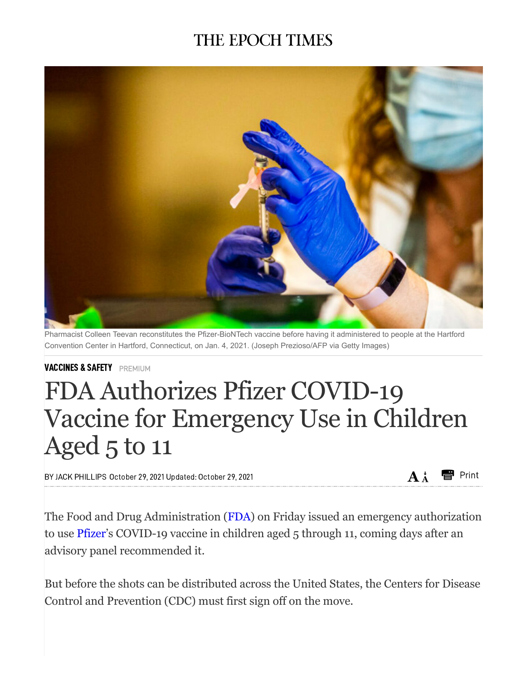## THE EPOCH TIMES



Pharmacist Colleen Teevan reconstitutes the Pfizer-BioNTech vaccine before having it administered to people at the Hartford Convention Center in Hartford, Connecticut, on Jan. 4, 2021. (Joseph Prezioso/AFP via Getty Images)

[VACCINES](https://www.theepochtimes.com/c-vaccines) & SAFETY PREMIUM

## FDA Authorizes Pfizer COVID-19 Vaccine for Emergency Use in Children Aged 5 to 11

BY JACK [PHILLIPS](https://www.theepochtimes.com/author-jack-phillips) October 29, 2021 Updated: October 29, 2021  $A^*$  **A**  $\uparrow$  Print

The Food and Drug Administration [\(FDA\)](https://www.theepochtimes.com/t-fda) on Friday issued an emergency authorization to use [Pfizer](https://www.theepochtimes.com/t-pfizer)'s COVID-19 vaccine in children aged 5 through 11, coming days after an advisory panel recommended it.

But before the shots can be distributed across the United States, the Centers for Disease Control and Prevention (CDC) must first sign off on the move.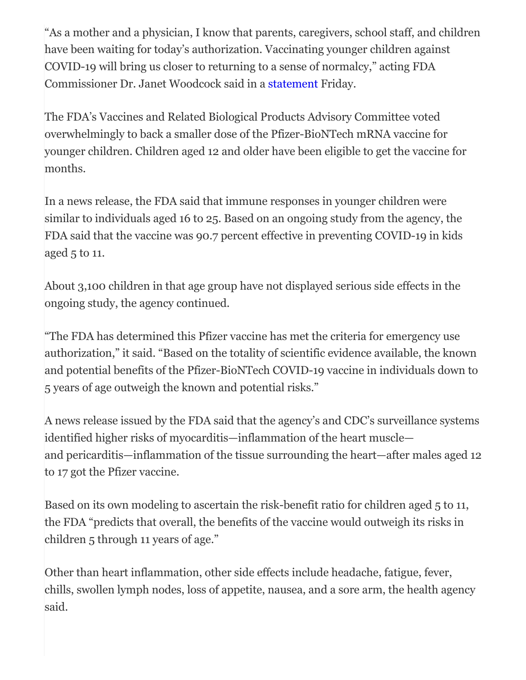"As a mother and a physician, I know that parents, caregivers, school staff, and children have been waiting for today's authorization. Vaccinating younger children against COVID-19 will bring us closer to returning to a sense of normalcy," acting FDA Commissioner Dr. Janet Woodcock said in a [statement](https://www.prnewswire.com/news-releases/fda-authorizes-pfizer-biontech-covid-19-vaccine-for-emergency-use-in-children-5-through-11-years-of-age-301412178.html) Friday.

The FDA's Vaccines and Related Biological Products Advisory Committee voted overwhelmingly to back a smaller dose of the Pfizer-BioNTech mRNA vaccine for younger children. Children aged 12 and older have been eligible to get the vaccine for months.

In a news release, the FDA said that immune responses in younger children were similar to individuals aged 16 to 25. Based on an ongoing study from the agency, the FDA said that the vaccine was 90.7 percent effective in preventing COVID-19 in kids aged 5 to 11.

About 3,100 children in that age group have not displayed serious side effects in the ongoing study, the agency continued.

"The FDA has determined this Pfizer vaccine has met the criteria for emergency use authorization," it said. "Based on the totality of scientific evidence available, the known and potential benefits of the Pfizer-BioNTech COVID-19 vaccine in individuals down to 5 years of age outweigh the known and potential risks."

A news release issued by the FDA said that the agency's and CDC's surveillance systems identified higher risks of myocarditis—inflammation of the heart muscle and pericarditis—inflammation of the tissue surrounding the heart—after males aged 12 to 17 got the Pfizer vaccine.

Based on its own modeling to ascertain the risk-benefit ratio for children aged 5 to 11, the FDA "predicts that overall, the benefits of the vaccine would outweigh its risks in children 5 through 11 years of age."

Other than heart inflammation, other side effects include headache, fatigue, fever, chills, swollen lymph nodes, loss of appetite, nausea, and a sore arm, the health agency said.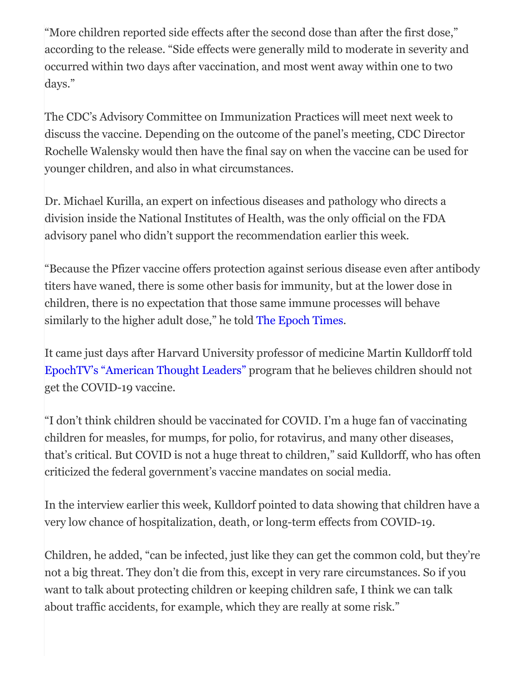"More children reported side effects after the second dose than after the first dose," according to the release. "Side effects were generally mild to moderate in severity and occurred within two days after vaccination, and most went away within one to two days."

The CDC's Advisory Committee on Immunization Practices will meet next week to discuss the vaccine. Depending on the outcome of the panel's meeting, CDC Director Rochelle Walensky would then have the final say on when the vaccine can be used for younger children, and also in what circumstances.

Dr. Michael Kurilla, an expert on infectious diseases and pathology who directs a division inside the National Institutes of Health, was the only official on the FDA advisory panel who didn't support the recommendation earlier this week.

"Because the Pfizer vaccine offers protection against serious disease even after antibody titers have waned, there is some other basis for immunity, but at the lower dose in children, there is no expectation that those same immune processes will behave similarly to the higher adult dose," he told The [Epoch](https://www.theepochtimes.com/fda-adviser-explains-why-he-abstained-from-vote-on-pfizers-covid-19-vaccine-for-young-children_4074913.html?utm_source=partner&utm_campaign=ZeroHedge) Times.

It came just days after Harvard University professor of medicine Martin Kulldorff told [EpochTV's](https://www.theepochtimes.com/children-shouldnt-get-covid-19-vaccines-kulldorff_4069255.html) "American Thought Leaders" program that he believes children should not get the COVID-19 vaccine.

"I don't think children should be vaccinated for COVID. I'm a huge fan of vaccinating children for measles, for mumps, for polio, for rotavirus, and many other diseases, that's critical. But COVID is not a huge threat to children," said Kulldorff, who has often criticized the federal government's vaccine mandates on social media.

In the interview earlier this week, Kulldorf pointed to data showing that children have a very low chance of hospitalization, death, or long-term effects from COVID-19.

Children, he added, "can be infected, just like they can get the common cold, but they're not a big threat. They don't die from this, except in very rare circumstances. So if you want to talk about protecting children or keeping children safe, I think we can talk about traffic accidents, for example, which they are really at some risk."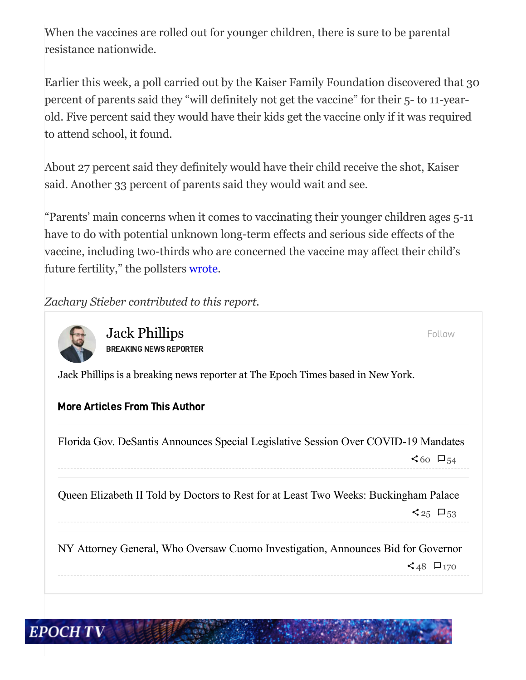When the vaccines are rolled out for younger children, there is sure to be parental resistance nationwide.

Earlier this week, a poll carried out by the Kaiser Family Foundation discovered that 30 percent of parents said they "will definitely not get the vaccine" for their 5- to 11-yearold. Five percent said they would have their kids get the vaccine only if it was required to attend school, it found.

About 27 percent said they definitely would have their child receive the shot, Kaiser said. Another 33 percent of parents said they would wait and see.

"Parents' main concerns when it comes to vaccinating their younger children ages 5-11 have to do with potential unknown long-term effects and serious side effects of the vaccine, including two-thirds who are concerned the vaccine may affect their child's future fertility," the pollsters [wrote](https://www.kff.org/coronavirus-covid-19/poll-finding/kff-covid-19-vaccine-monitor-october-2021/).

*Zachary Stieber contributed to this report.*



Jack Phillips BREAKING NEWS REPORTER

Follow

Jack Phillips is a breaking news reporter at The Epoch Times based in New York.

## More Articles From This Author

Florida Gov. DeSantis Announces Special Legislative Session Over [COVID-19](https://www.theepochtimes.com/mkt_breakingnews/florida-gov-desantis-announces-special-legislative-session-over-covid-19-mandates_4076627.html) Mandates

 $560$   $\Box$ 54

Queen Elizabeth II Told by Doctors to Rest for at Least Two Weeks: [Buckingham](https://www.theepochtimes.com/mkt_breakingnews/queen-elizabeth-ii-told-by-doctors-to-rest-for-at-least-two-weeks-buckingham-palace_4076388.html) Palace

 $\leq$  25  $\Box$  53

NY Attorney General, Who Oversaw Cuomo [Investigation,](https://www.theepochtimes.com/mkt_breakingnews/ny-attorney-general-who-oversaw-cuomo-investigation-announces-bid-for-governor_4076393.html) Announces Bid for Governor  $\prec$  48  $\Box$  170

## **EPOCH TV**